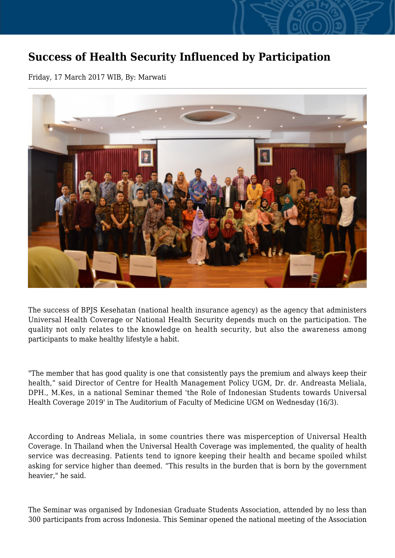## **Success of Health Security Influenced by Participation**

Friday, 17 March 2017 WIB, By: Marwati



The success of BPJS Kesehatan (national health insurance agency) as the agency that administers Universal Health Coverage or National Health Security depends much on the participation. The quality not only relates to the knowledge on health security, but also the awareness among participants to make healthy lifestyle a habit.

"The member that has good quality is one that consistently pays the premium and always keep their health," said Director of Centre for Health Management Policy UGM, Dr. dr. Andreasta Meliala, DPH., M.Kes, in a national Seminar themed 'the Role of Indonesian Students towards Universal Health Coverage 2019' in The Auditorium of Faculty of Medicine UGM on Wednesday (16/3).

According to Andreas Meliala, in some countries there was misperception of Universal Health Coverage. In Thailand when the Universal Health Coverage was implemented, the quality of health service was decreasing. Patients tend to ignore keeping their health and became spoiled whilst asking for service higher than deemed. "This results in the burden that is born by the government heavier," he said.

The Seminar was organised by Indonesian Graduate Students Association, attended by no less than 300 participants from across Indonesia. This Seminar opened the national meeting of the Association